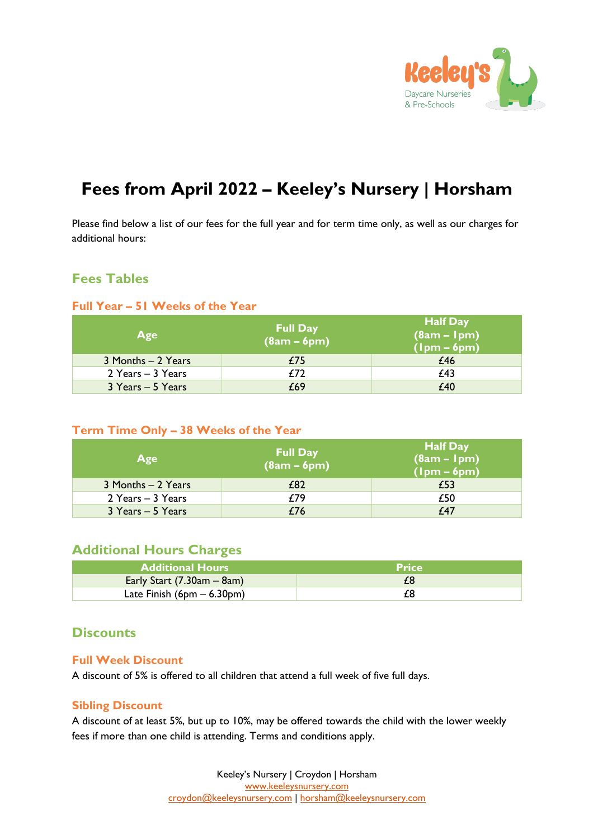

# **Fees from April 2022 – Keeley's Nursery | Horsham**

Please find below a list of our fees for the full year and for term time only, as well as our charges for additional hours:

# **Fees Tables**

#### **Full Year – 51 Weeks of the Year**

| Age                | <b>Full Day</b><br>$(8am - 6pm)$ | <b>Half Day</b><br>$(8am - 1pm)$<br>$(lpm - 6pm)$ |
|--------------------|----------------------------------|---------------------------------------------------|
| 3 Months - 2 Years | £75                              | £46                                               |
| 2 Years - 3 Years  | £72                              | £43                                               |
| 3 Years - 5 Years  | £69                              | £40                                               |

#### **Term Time Only – 38 Weeks of the Year**

| Age                | <b>Full Day</b><br>$(8am - 6pm)$ | <b>Half Day</b><br>$(8am - 1pm)$<br>$(lpm - 6pm)$ |
|--------------------|----------------------------------|---------------------------------------------------|
| 3 Months - 2 Years | £82                              | £53                                               |
| 2 Years - 3 Years  | £79                              | £50                                               |
| 3 Years - 5 Years  | £76                              | £47                                               |

# **Additional Hours Charges**

| <b>Additional Hours</b>      | <b>Price</b> |
|------------------------------|--------------|
| Early Start $(7.30am - 8am)$ |              |
| Late Finish $(6pm - 6.30pm)$ |              |

### **Discounts**

#### **Full Week Discount**

A discount of 5% is offered to all children that attend a full week of five full days.

#### **Sibling Discount**

A discount of at least 5%, but up to 10%, may be offered towards the child with the lower weekly fees if more than one child is attending. Terms and conditions apply.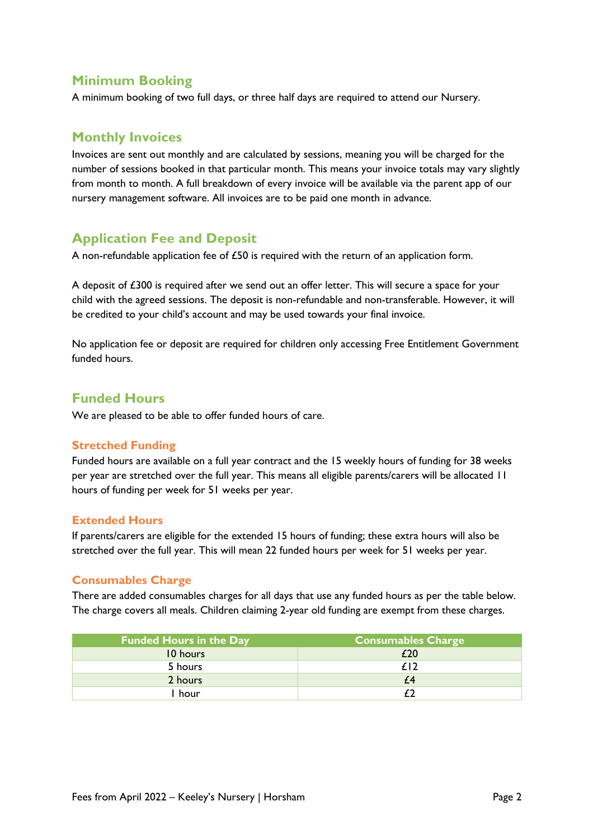# **Minimum Booking**

A minimum booking of two full days, or three half days are required to attend our Nursery.

# **Monthly Invoices**

Invoices are sent out monthly and are calculated by sessions, meaning you will be charged for the number of sessions booked in that particular month. This means your invoice totals may vary slightly from month to month. A full breakdown of every invoice will be available via the parent app of our nursery management software. All invoices are to be paid one month in advance.

# **Application Fee and Deposit**

A non-refundable application fee of £50 is required with the return of an application form.

A deposit of £300 is required after we send out an offer letter. This will secure a space for your child with the agreed sessions. The deposit is non-refundable and non-transferable. However, it will be credited to your child's account and may be used towards your final invoice.

No application fee or deposit are required for children only accessing Free Entitlement Government funded hours.

# **Funded Hours**

We are pleased to be able to offer funded hours of care.

#### **Stretched Funding**

Funded hours are available on a full year contract and the 15 weekly hours of funding for 38 weeks per year are stretched over the full year. This means all eligible parents/carers will be allocated 11 hours of funding per week for 51 weeks per year.

#### **Extended Hours**

If parents/carers are eligible for the extended 15 hours of funding; these extra hours will also be stretched over the full year. This will mean 22 funded hours per week for 51 weeks per year.

#### **Consumables Charge**

There are added consumables charges for all days that use any funded hours as per the table below. The charge covers all meals. Children claiming 2-year old funding are exempt from these charges.

| <b>Funded Hours in the Day</b> | <b>Consumables Charge</b> |
|--------------------------------|---------------------------|
| 10 hours                       | £20                       |
| 5 hours                        | f12                       |
| 2 hours                        | £4                        |
| hour                           |                           |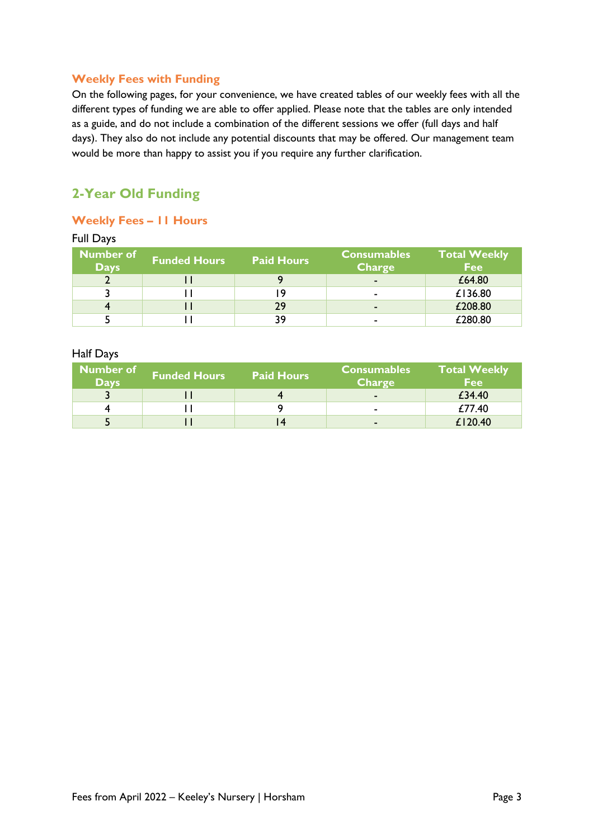#### **Weekly Fees with Funding**

On the following pages, for your convenience, we have created tables of our weekly fees with all the different types of funding we are able to offer applied. Please note that the tables are only intended as a guide, and do not include a combination of the different sessions we offer (full days and half days). They also do not include any potential discounts that may be offered. Our management team would be more than happy to assist you if you require any further clarification.

# **2-Year Old Funding**

#### **Weekly Fees – 11 Hours**

| <b>Full Days</b>                |                     |                   |                                     |                                   |
|---------------------------------|---------------------|-------------------|-------------------------------------|-----------------------------------|
| <b>Number of</b><br><b>Days</b> | <b>Funded Hours</b> | <b>Paid Hours</b> | <b>Consumables</b><br><b>Charge</b> | <b>Total Weekly</b><br><b>Fee</b> |
|                                 |                     |                   | $\blacksquare$                      | £64.80                            |
|                                 |                     | ۱9                | ۰                                   | £136.80                           |
|                                 |                     | 29                | $\blacksquare$                      | £208.80                           |
|                                 |                     | 39                | ۰                                   | £280.80                           |

#### Half Days

| Number of<br><b>Days</b> | <b>Funded Hours</b> | <b>Paid Hours</b> | <b>Consumables</b><br><b>Charge</b> | <b>Total Weekly</b><br><b>Fee</b> |
|--------------------------|---------------------|-------------------|-------------------------------------|-----------------------------------|
|                          |                     |                   | $\blacksquare$                      | £34.40                            |
|                          |                     |                   | $\blacksquare$                      | £77.40                            |
|                          |                     |                   | $\sim$                              | £120.40                           |